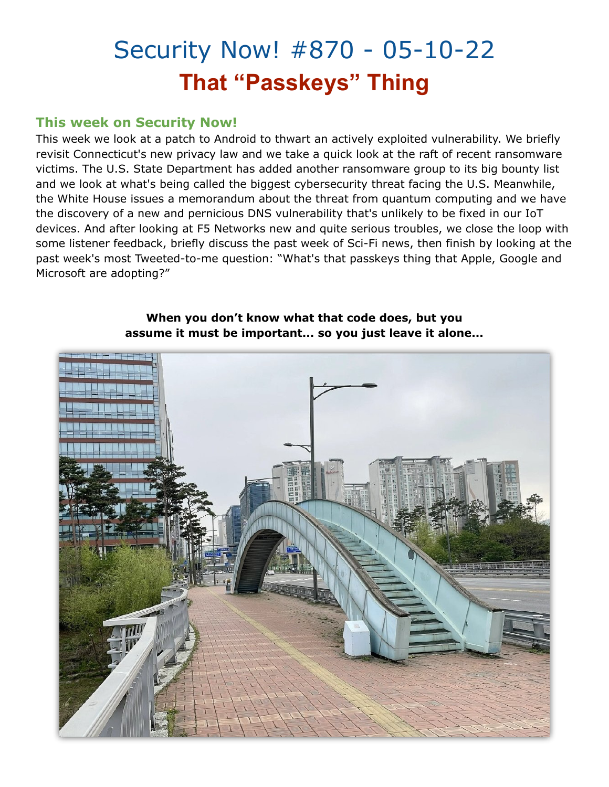## Security Now! #870 - 05-10-22 **That "Passkeys" Thing**

#### **This week on Security Now!**

This week we look at a patch to Android to thwart an actively exploited vulnerability. We briefly revisit Connecticut's new privacy law and we take a quick look at the raft of recent ransomware victims. The U.S. State Department has added another ransomware group to its big bounty list and we look at what's being called the biggest cybersecurity threat facing the U.S. Meanwhile, the White House issues a memorandum about the threat from quantum computing and we have the discovery of a new and pernicious DNS vulnerability that's unlikely to be fixed in our IoT devices. And after looking at F5 Networks new and quite serious troubles, we close the loop with some listener feedback, briefly discuss the past week of Sci-Fi news, then finish by looking at the past week's most Tweeted-to-me question: "What's that passkeys thing that Apple, Google and Microsoft are adopting?"

#### **When you don't know what that code does, but you assume it must be important... so you just leave it alone...**

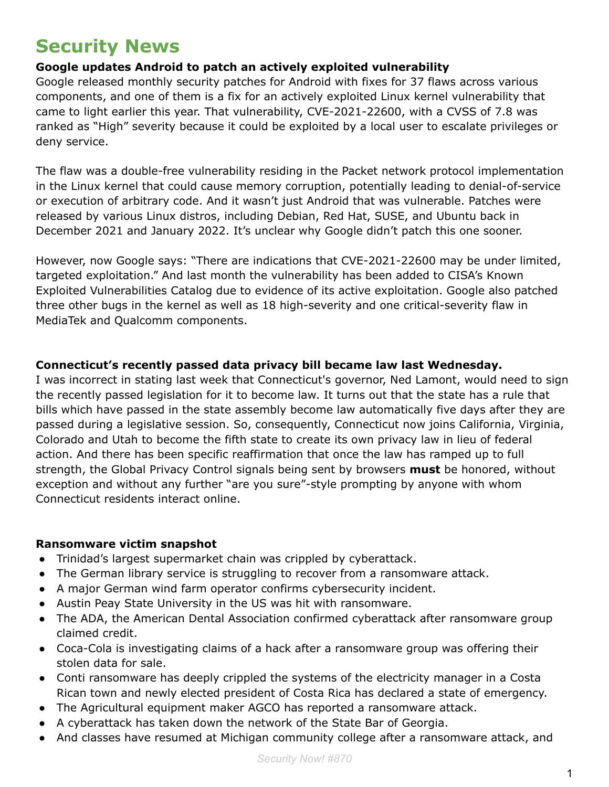## **Security News**

#### **Google updates Android to patch an actively exploited vulnerability**

Google released monthly security patches for Android with fixes for 37 flaws across various components, and one of them is a fix for an actively exploited Linux kernel vulnerability that came to light earlier this year. That vulnerability, CVE-2021-22600, with a CVSS of 7.8 was ranked as "High" severity because it could be exploited by a local user to escalate privileges or deny service.

The flaw was a double-free vulnerability residing in the Packet network protocol implementation in the Linux kernel that could cause memory corruption, potentially leading to denial-of-service or execution of arbitrary code. And it wasn't just Android that was vulnerable. Patches were released by various Linux distros, including Debian, Red Hat, SUSE, and Ubuntu back in December 2021 and January 2022. It's unclear why Google didn't patch this one sooner.

However, now Google says: "There are indications that CVE-2021-22600 may be under limited, targeted exploitation." And last month the vulnerability has been added to CISA's Known Exploited Vulnerabilities Catalog due to evidence of its active exploitation. Google also patched three other bugs in the kernel as well as 18 high-severity and one critical-severity flaw in MediaTek and Qualcomm components.

#### **Connecticut's recently passed data privacy bill became law last Wednesday.**

I was incorrect in stating last week that Connecticut's governor, Ned Lamont, would need to sign the recently passed legislation for it to become law. It turns out that the state has a rule that bills which have passed in the state assembly become law automatically five days after they are passed during a legislative session. So, consequently, Connecticut now joins California, Virginia, Colorado and Utah to become the fifth state to create its own privacy law in lieu of federal action. And there has been specific reaffirmation that once the law has ramped up to full strength, the Global Privacy Control signals being sent by browsers **must** be honored, without exception and without any further "are you sure"-style prompting by anyone with whom Connecticut residents interact online.

#### **Ransomware victim snapshot**

- Trinidad's largest supermarket chain was crippled by cyberattack.
- The German library service is struggling to recover from a ransomware attack.
- A major German wind farm operator confirms cybersecurity incident.
- Austin Peay State University in the US was hit with ransomware.
- The ADA, the American Dental Association confirmed cyberattack after ransomware group claimed credit.
- Coca-Cola is investigating claims of a hack after a ransomware group was offering their stolen data for sale.
- Conti ransomware has deeply crippled the systems of the electricity manager in a Costa Rican town and newly elected president of Costa Rica has declared a state of emergency.
- The Agricultural equipment maker AGCO has reported a ransomware attack.
- A cyberattack has taken down the network of the State Bar of Georgia.
- And classes have resumed at Michigan community college after a ransomware attack, and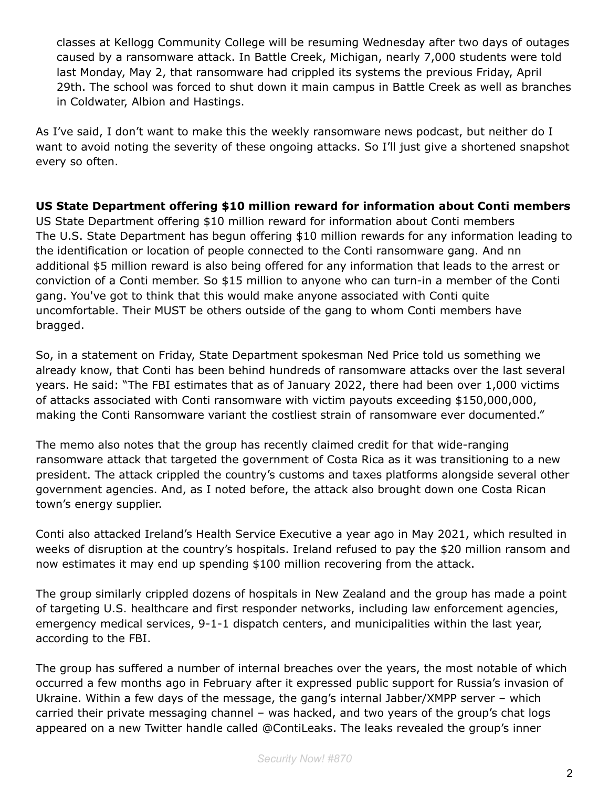classes at Kellogg Community College will be resuming Wednesday after two days of outages caused by a ransomware attack. In Battle Creek, Michigan, nearly 7,000 students were told last Monday, May 2, that ransomware had crippled its systems the previous Friday, April 29th. The school was forced to shut down it main campus in Battle Creek as well as branches in Coldwater, Albion and Hastings.

As I've said, I don't want to make this the weekly ransomware news podcast, but neither do I want to avoid noting the severity of these ongoing attacks. So I'll just give a shortened snapshot every so often.

#### **US State Department offering \$10 million reward for information about Conti members**

US State Department offering \$10 million reward for information about Conti members The U.S. State Department has begun offering \$10 million rewards for any information leading to the identification or location of people connected to the Conti ransomware gang. And nn additional \$5 million reward is also being offered for any information that leads to the arrest or conviction of a Conti member. So \$15 million to anyone who can turn-in a member of the Conti gang. You've got to think that this would make anyone associated with Conti quite uncomfortable. Their MUST be others outside of the gang to whom Conti members have bragged.

So, in a statement on Friday, State Department spokesman Ned Price told us something we already know, that Conti has been behind hundreds of ransomware attacks over the last several years. He said: "The FBI estimates that as of January 2022, there had been over 1,000 victims of attacks associated with Conti ransomware with victim payouts exceeding \$150,000,000, making the Conti Ransomware variant the costliest strain of ransomware ever documented."

The memo also notes that the group has recently claimed credit for that wide-ranging ransomware attack that targeted the government of Costa Rica as it was transitioning to a new president. The attack crippled the country's customs and taxes platforms alongside several other government agencies. And, as I noted before, the attack also brought down one Costa Rican town's energy supplier.

Conti also attacked Ireland's Health Service Executive a year ago in May 2021, which resulted in weeks of disruption at the country's hospitals. Ireland refused to pay the \$20 million ransom and now estimates it may end up spending \$100 million recovering from the attack.

The group similarly crippled dozens of hospitals in New Zealand and the group has made a point of targeting U.S. healthcare and first responder networks, including law enforcement agencies, emergency medical services, 9-1-1 dispatch centers, and municipalities within the last year, according to the FBI.

The group has suffered a number of internal breaches over the years, the most notable of which occurred a few months ago in February after it expressed public support for Russia's invasion of Ukraine. Within a few days of the message, the gang's internal Jabber/XMPP server – which carried their private messaging channel – was hacked, and two years of the group's chat logs appeared on a new Twitter handle called @ContiLeaks. The leaks revealed the group's inner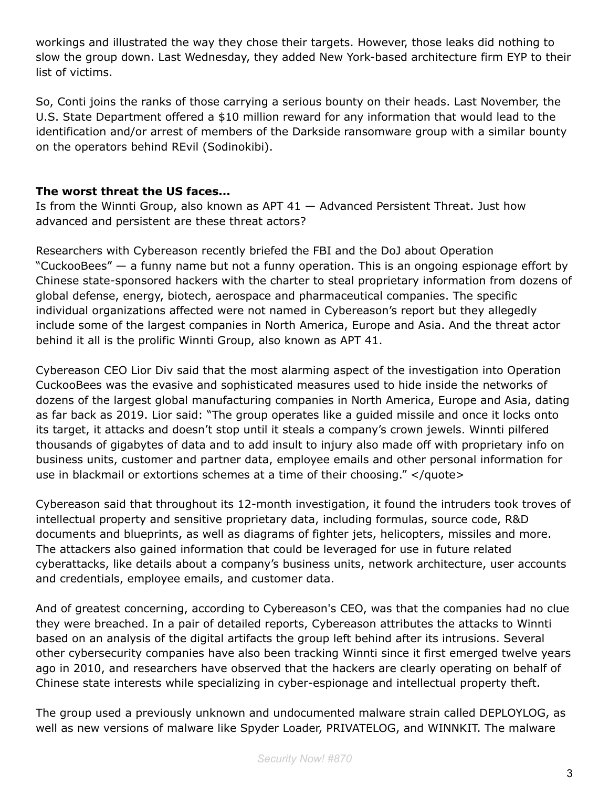workings and illustrated the way they chose their targets. However, those leaks did nothing to slow the group down. Last Wednesday, they added New York-based architecture firm EYP to their list of victims.

So, Conti joins the ranks of those carrying a serious bounty on their heads. Last November, the U.S. State Department offered a \$10 million reward for any information that would lead to the identification and/or arrest of members of the Darkside ransomware group with a similar bounty on the operators behind REvil (Sodinokibi).

#### **The worst threat the US faces...**

Is from the Winnti Group, also known as APT  $41 -$  Advanced Persistent Threat. Just how advanced and persistent are these threat actors?

Researchers with Cybereason recently briefed the FBI and the DoJ about Operation "CuckooBees" — a funny name but not a funny operation. This is an ongoing espionage effort by Chinese state-sponsored hackers with the charter to steal proprietary information from dozens of global defense, energy, biotech, aerospace and pharmaceutical companies. The specific individual organizations affected were not named in Cybereason's report but they allegedly include some of the largest companies in North America, Europe and Asia. And the threat actor behind it all is the prolific Winnti Group, also known as APT 41.

Cybereason CEO Lior Div said that the most alarming aspect of the investigation into Operation CuckooBees was the evasive and sophisticated measures used to hide inside the networks of dozens of the largest global manufacturing companies in North America, Europe and Asia, dating as far back as 2019. Lior said: "The group operates like a guided missile and once it locks onto its target, it attacks and doesn't stop until it steals a company's crown jewels. Winnti pilfered thousands of gigabytes of data and to add insult to injury also made off with proprietary info on business units, customer and partner data, employee emails and other personal information for use in blackmail or extortions schemes at a time of their choosing." </quote>

Cybereason said that throughout its 12-month investigation, it found the intruders took troves of intellectual property and sensitive proprietary data, including formulas, source code, R&D documents and blueprints, as well as diagrams of fighter jets, helicopters, missiles and more. The attackers also gained information that could be leveraged for use in future related cyberattacks, like details about a company's business units, network architecture, user accounts and credentials, employee emails, and customer data.

And of greatest concerning, according to Cybereason's CEO, was that the companies had no clue they were breached. In a pair of detailed reports, Cybereason attributes the attacks to Winnti based on an analysis of the digital artifacts the group left behind after its intrusions. Several other cybersecurity companies have also been tracking Winnti since it first emerged twelve years ago in 2010, and researchers have observed that the hackers are clearly operating on behalf of Chinese state interests while specializing in cyber-espionage and intellectual property theft.

The group used a previously unknown and undocumented malware strain called DEPLOYLOG, as well as new versions of malware like Spyder Loader, PRIVATELOG, and WINNKIT. The malware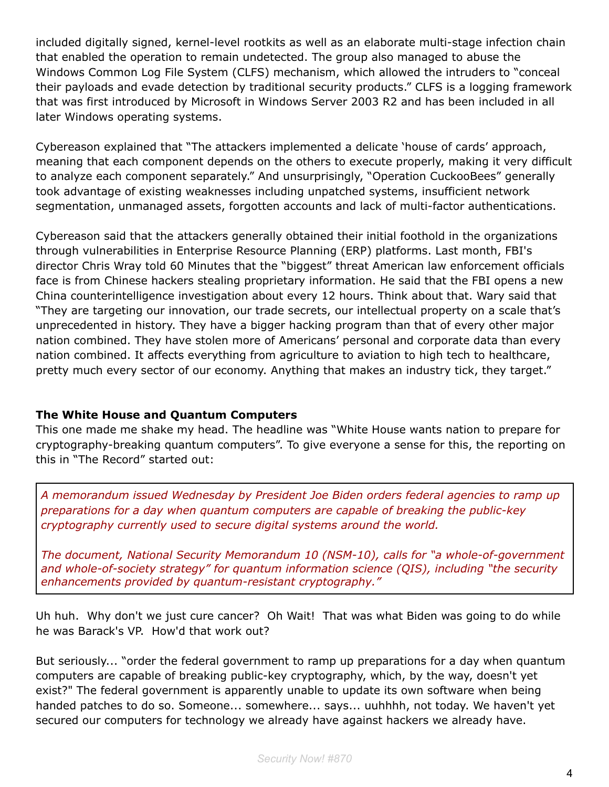included digitally signed, kernel-level rootkits as well as an elaborate multi-stage infection chain that enabled the operation to remain undetected. The group also managed to abuse the Windows Common Log File System (CLFS) mechanism, which allowed the intruders to "conceal their payloads and evade detection by traditional security products." CLFS is a logging framework that was first introduced by Microsoft in Windows Server 2003 R2 and has been included in all later Windows operating systems.

Cybereason explained that "The attackers implemented a delicate 'house of cards' approach, meaning that each component depends on the others to execute properly, making it very difficult to analyze each component separately." And unsurprisingly, "Operation CuckooBees" generally took advantage of existing weaknesses including unpatched systems, insufficient network segmentation, unmanaged assets, forgotten accounts and lack of multi-factor authentications.

Cybereason said that the attackers generally obtained their initial foothold in the organizations through vulnerabilities in Enterprise Resource Planning (ERP) platforms. Last month, FBI's director Chris Wray told 60 Minutes that the "biggest" threat American law enforcement officials face is from Chinese hackers stealing proprietary information. He said that the FBI opens a new China counterintelligence investigation about every 12 hours. Think about that. Wary said that "They are targeting our innovation, our trade secrets, our intellectual property on a scale that's unprecedented in history. They have a bigger hacking program than that of every other major nation combined. They have stolen more of Americans' personal and corporate data than every nation combined. It affects everything from agriculture to aviation to high tech to healthcare, pretty much every sector of our economy. Anything that makes an industry tick, they target."

#### **The White House and Quantum Computers**

This one made me shake my head. The headline was "White House wants nation to prepare for cryptography-breaking quantum computers". To give everyone a sense for this, the reporting on this in "The Record" started out:

*A memorandum issued Wednesday by President Joe Biden orders federal agencies to ramp up preparations for a day when quantum computers are capable of breaking the public-key cryptography currently used to secure digital systems around the world.*

*The document, National Security Memorandum 10 (NSM-10), calls for "a whole-of-government and whole-of-society strategy" for quantum information science (QIS), including "the security enhancements provided by quantum-resistant cryptography."*

Uh huh. Why don't we just cure cancer? Oh Wait! That was what Biden was going to do while he was Barack's VP. How'd that work out?

But seriously... "order the federal government to ramp up preparations for a day when quantum computers are capable of breaking public-key cryptography, which, by the way, doesn't yet exist?" The federal government is apparently unable to update its own software when being handed patches to do so. Someone... somewhere... says... uuhhhh, not today. We haven't yet secured our computers for technology we already have against hackers we already have.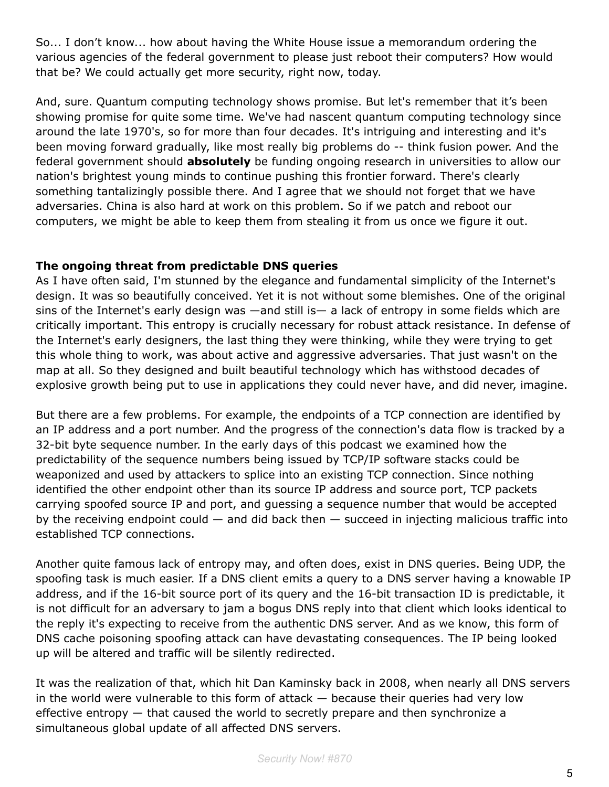So... I don't know... how about having the White House issue a memorandum ordering the various agencies of the federal government to please just reboot their computers? How would that be? We could actually get more security, right now, today.

And, sure. Quantum computing technology shows promise. But let's remember that it's been showing promise for quite some time. We've had nascent quantum computing technology since around the late 1970's, so for more than four decades. It's intriguing and interesting and it's been moving forward gradually, like most really big problems do -- think fusion power. And the federal government should **absolutely** be funding ongoing research in universities to allow our nation's brightest young minds to continue pushing this frontier forward. There's clearly something tantalizingly possible there. And I agree that we should not forget that we have adversaries. China is also hard at work on this problem. So if we patch and reboot our computers, we might be able to keep them from stealing it from us once we figure it out.

#### **The ongoing threat from predictable DNS queries**

As I have often said, I'm stunned by the elegance and fundamental simplicity of the Internet's design. It was so beautifully conceived. Yet it is not without some blemishes. One of the original sins of the Internet's early design was —and still is— a lack of entropy in some fields which are critically important. This entropy is crucially necessary for robust attack resistance. In defense of the Internet's early designers, the last thing they were thinking, while they were trying to get this whole thing to work, was about active and aggressive adversaries. That just wasn't on the map at all. So they designed and built beautiful technology which has withstood decades of explosive growth being put to use in applications they could never have, and did never, imagine.

But there are a few problems. For example, the endpoints of a TCP connection are identified by an IP address and a port number. And the progress of the connection's data flow is tracked by a 32-bit byte sequence number. In the early days of this podcast we examined how the predictability of the sequence numbers being issued by TCP/IP software stacks could be weaponized and used by attackers to splice into an existing TCP connection. Since nothing identified the other endpoint other than its source IP address and source port, TCP packets carrying spoofed source IP and port, and guessing a sequence number that would be accepted by the receiving endpoint could  $-$  and did back then  $-$  succeed in injecting malicious traffic into established TCP connections.

Another quite famous lack of entropy may, and often does, exist in DNS queries. Being UDP, the spoofing task is much easier. If a DNS client emits a query to a DNS server having a knowable IP address, and if the 16-bit source port of its query and the 16-bit transaction ID is predictable, it is not difficult for an adversary to jam a bogus DNS reply into that client which looks identical to the reply it's expecting to receive from the authentic DNS server. And as we know, this form of DNS cache poisoning spoofing attack can have devastating consequences. The IP being looked up will be altered and traffic will be silently redirected.

It was the realization of that, which hit Dan Kaminsky back in 2008, when nearly all DNS servers in the world were vulnerable to this form of attack — because their queries had very low effective entropy — that caused the world to secretly prepare and then synchronize a simultaneous global update of all affected DNS servers.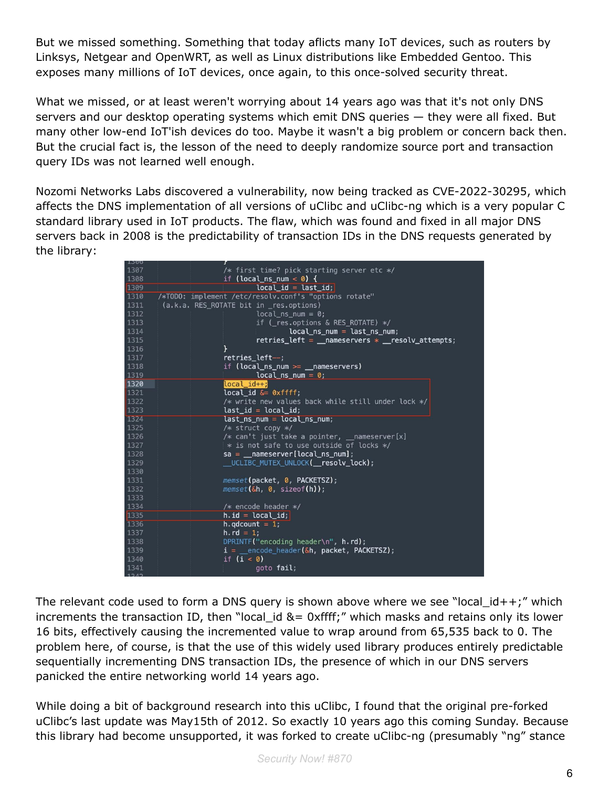But we missed something. Something that today aflicts many IoT devices, such as routers by Linksys, Netgear and OpenWRT, as well as Linux distributions like Embedded Gentoo. This exposes many millions of IoT devices, once again, to this once-solved security threat.

What we missed, or at least weren't worrying about 14 years ago was that it's not only DNS servers and our desktop operating systems which emit DNS queries — they were all fixed. But many other low-end IoT'ish devices do too. Maybe it wasn't a big problem or concern back then. But the crucial fact is, the lesson of the need to deeply randomize source port and transaction query IDs was not learned well enough.

Nozomi Networks Labs discovered a vulnerability, now being tracked as CVE-2022-30295, which affects the DNS implementation of all versions of uClibc and uClibc-ng which is a very popular C standard library used in IoT products. The flaw, which was found and fixed in all major DNS servers back in 2008 is the predictability of transaction IDs in the DNS requests generated by the library:



The relevant code used to form a DNS query is shown above where we see "local  $id++;''$  which increments the transaction ID, then "local\_id &= 0xffff;" which masks and retains only its lower 16 bits, effectively causing the incremented value to wrap around from 65,535 back to 0. The problem here, of course, is that the use of this widely used library produces entirely predictable sequentially incrementing DNS transaction IDs, the presence of which in our DNS servers panicked the entire networking world 14 years ago.

While doing a bit of background research into this uClibc, I found that the original pre-forked uClibc's last update was May15th of 2012. So exactly 10 years ago this coming Sunday. Because this library had become unsupported, it was forked to create uClibc-ng (presumably "ng" stance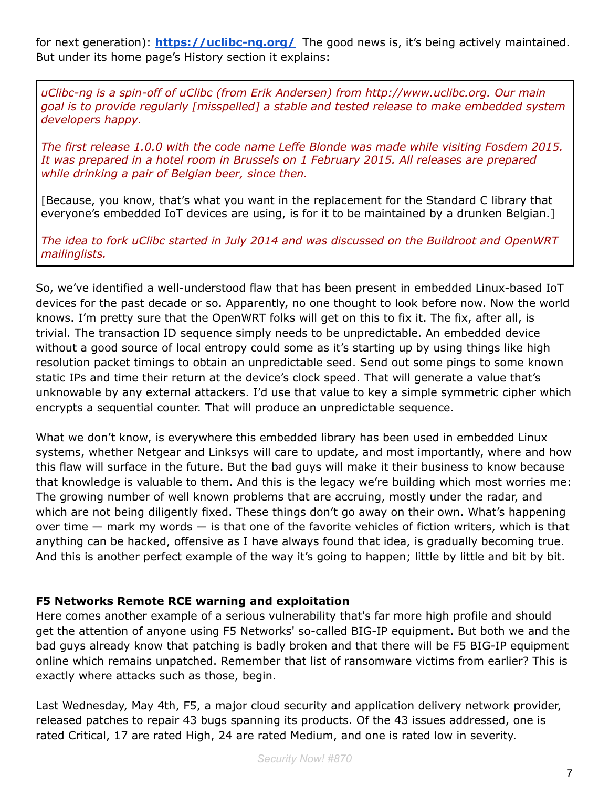for next generation): **<https://uclibc-ng.org/>** The good news is, it's being actively maintained. But under its home page's History section it explains:

*uClibc-ng is a spin-off of uClibc (from Erik Andersen) from [http://www.uclibc.org.](http://www.uclibc.org) Our main goal is to provide regularly [misspelled] a stable and tested release to make embedded system developers happy.*

*The first release 1.0.0 with the code name Leffe Blonde was made while visiting Fosdem 2015. It was prepared in a hotel room in Brussels on 1 February 2015. All releases are prepared while drinking a pair of Belgian beer, since then.*

[Because, you know, that's what you want in the replacement for the Standard C library that everyone's embedded IoT devices are using, is for it to be maintained by a drunken Belgian.]

*The idea to fork uClibc started in July 2014 and was discussed on the Buildroot and OpenWRT mailinglists.*

So, we've identified a well-understood flaw that has been present in embedded Linux-based IoT devices for the past decade or so. Apparently, no one thought to look before now. Now the world knows. I'm pretty sure that the OpenWRT folks will get on this to fix it. The fix, after all, is trivial. The transaction ID sequence simply needs to be unpredictable. An embedded device without a good source of local entropy could some as it's starting up by using things like high resolution packet timings to obtain an unpredictable seed. Send out some pings to some known static IPs and time their return at the device's clock speed. That will generate a value that's unknowable by any external attackers. I'd use that value to key a simple symmetric cipher which encrypts a sequential counter. That will produce an unpredictable sequence.

What we don't know, is everywhere this embedded library has been used in embedded Linux systems, whether Netgear and Linksys will care to update, and most importantly, where and how this flaw will surface in the future. But the bad guys will make it their business to know because that knowledge is valuable to them. And this is the legacy we're building which most worries me: The growing number of well known problems that are accruing, mostly under the radar, and which are not being diligently fixed. These things don't go away on their own. What's happening over time — mark my words — is that one of the favorite vehicles of fiction writers, which is that anything can be hacked, offensive as I have always found that idea, is gradually becoming true. And this is another perfect example of the way it's going to happen; little by little and bit by bit.

#### **F5 Networks Remote RCE warning and exploitation**

Here comes another example of a serious vulnerability that's far more high profile and should get the attention of anyone using F5 Networks' so-called BIG-IP equipment. But both we and the bad guys already know that patching is badly broken and that there will be F5 BIG-IP equipment online which remains unpatched. Remember that list of ransomware victims from earlier? This is exactly where attacks such as those, begin.

Last Wednesday, May 4th, F5, a major cloud security and application delivery network provider, released patches to repair 43 bugs spanning its products. Of the 43 issues addressed, one is rated Critical, 17 are rated High, 24 are rated Medium, and one is rated low in severity.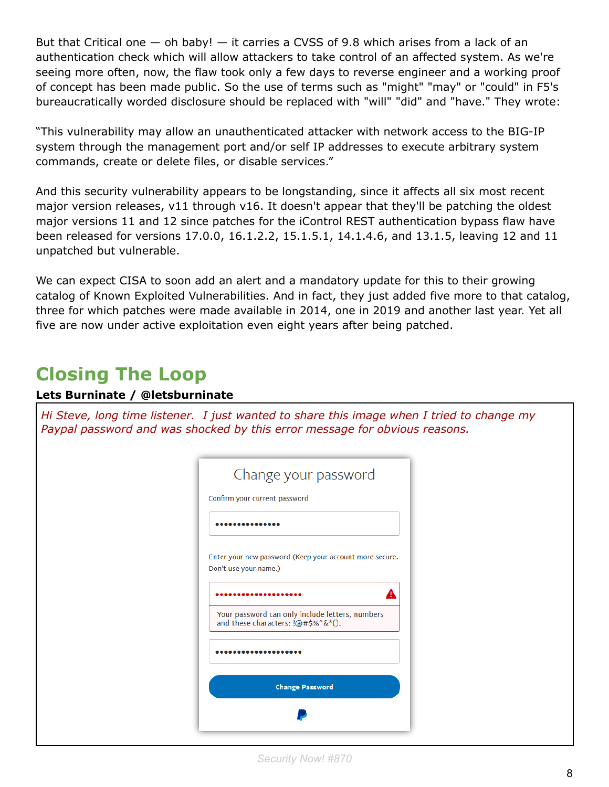But that Critical one  $-$  oh baby!  $-$  it carries a CVSS of 9.8 which arises from a lack of an authentication check which will allow attackers to take control of an affected system. As we're seeing more often, now, the flaw took only a few days to reverse engineer and a working proof of concept has been made public. So the use of terms such as "might" "may" or "could" in F5's bureaucratically worded disclosure should be replaced with "will" "did" and "have." They wrote:

"This vulnerability may allow an unauthenticated attacker with network access to the BIG-IP system through the management port and/or self IP addresses to execute arbitrary system commands, create or delete files, or disable services."

And this security vulnerability appears to be longstanding, since it affects all six most recent major version releases, v11 through v16. It doesn't appear that they'll be patching the oldest major versions 11 and 12 since patches for the iControl REST authentication bypass flaw have been released for versions 17.0.0, 16.1.2.2, 15.1.5.1, 14.1.4.6, and 13.1.5, leaving 12 and 11 unpatched but vulnerable.

We can expect CISA to soon add an alert and a mandatory update for this to their growing catalog of Known Exploited Vulnerabilities. And in fact, they just added five more to that catalog, three for which patches were made available in 2014, one in 2019 and another last year. Yet all five are now under active exploitation even eight years after being patched.

## **Closing The Loop**

#### **Lets Burninate / @letsburninate**

| Hi Steve, long time listener. I just wanted to share this image when I tried to change my<br>Paypal password and was shocked by this error message for obvious reasons. |  |
|-------------------------------------------------------------------------------------------------------------------------------------------------------------------------|--|
| Change your password<br>Confirm your current password                                                                                                                   |  |
| Enter your new password (Keep your account more secure.<br>Don't use your name.)                                                                                        |  |
| Your password can only include letters, numbers<br>and these characters: !@#\$%^&*().                                                                                   |  |
| <b>Change Password</b>                                                                                                                                                  |  |
|                                                                                                                                                                         |  |

*Security Now! #870*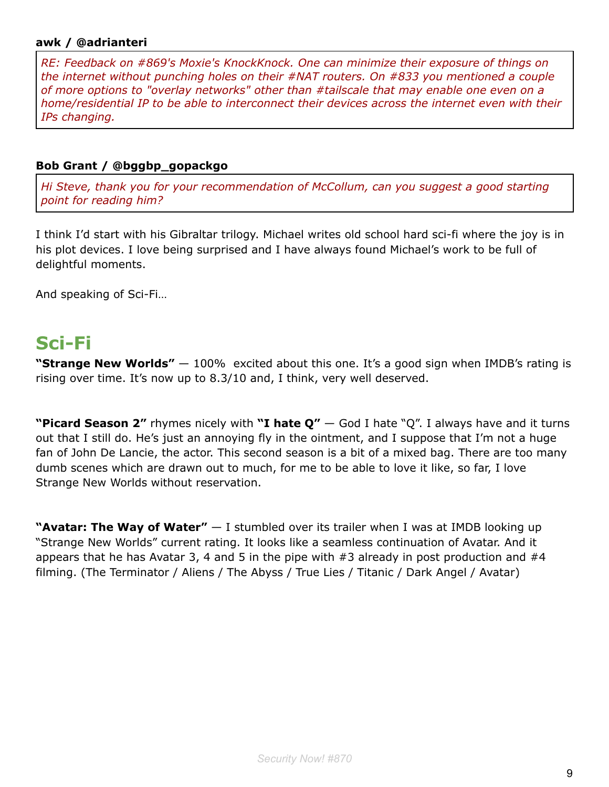#### **awk / @adrianteri**

*RE: Feedback on #869's Moxie's KnockKnock. One can minimize their exposure of things on the internet without punching holes on their #NAT routers. On #833 you mentioned a couple of more options to "overlay networks" other than #tailscale that may enable one even on a home/residential IP to be able to interconnect their devices across the internet even with their IPs changing.*

#### **Bob Grant / @bggbp\_gopackgo**

*Hi Steve, thank you for your recommendation of McCollum, can you suggest a good starting point for reading him?*

I think I'd start with his Gibraltar trilogy. Michael writes old school hard sci-fi where the joy is in his plot devices. I love being surprised and I have always found Michael's work to be full of delightful moments.

And speaking of Sci-Fi…

### **Sci-Fi**

**"Strange New Worlds"** — 100% excited about this one. It's a good sign when IMDB's rating is rising over time. It's now up to 8.3/10 and, I think, very well deserved.

**"Picard Season 2"** rhymes nicely with **"I hate Q"** — God I hate "Q". I always have and it turns out that I still do. He's just an annoying fly in the ointment, and I suppose that I'm not a huge fan of John De Lancie, the actor. This second season is a bit of a mixed bag. There are too many dumb scenes which are drawn out to much, for me to be able to love it like, so far, I love Strange New Worlds without reservation.

**"Avatar: The Way of Water"** — I stumbled over its trailer when I was at IMDB looking up "Strange New Worlds" current rating. It looks like a seamless continuation of Avatar. And it appears that he has Avatar 3, 4 and 5 in the pipe with  $#3$  already in post production and  $#4$ filming. (The Terminator / Aliens / The Abyss / True Lies / Titanic / Dark Angel / Avatar)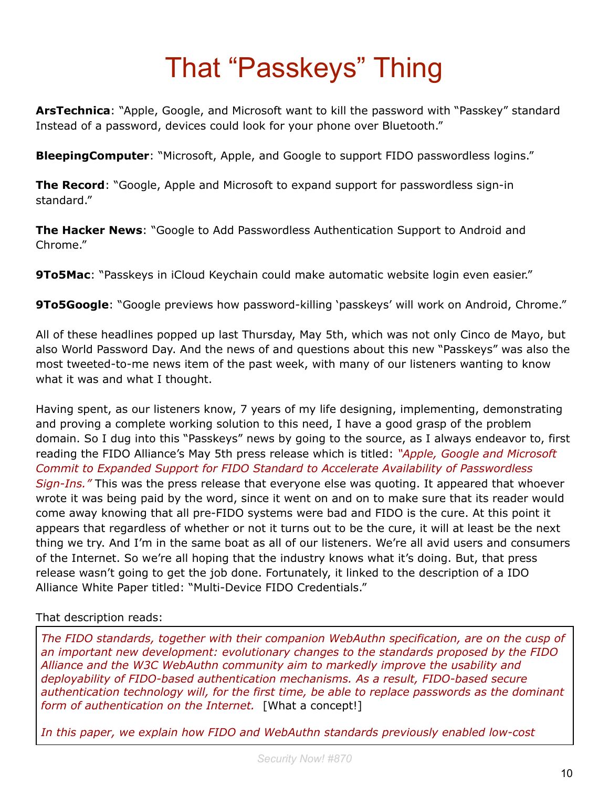# That "Passkeys" Thing

**ArsTechnica**: "Apple, Google, and Microsoft want to kill the password with "Passkey" standard Instead of a password, devices could look for your phone over Bluetooth."

**BleepingComputer:** "Microsoft, Apple, and Google to support FIDO passwordless logins."

**The Record**: "Google, Apple and Microsoft to expand support for passwordless sign-in standard."

**The Hacker News**: "Google to Add Passwordless Authentication Support to Android and Chrome."

**9To5Mac**: "Passkeys in iCloud Keychain could make automatic website login even easier."

**9To5Google**: "Google previews how password-killing 'passkeys' will work on Android, Chrome."

All of these headlines popped up last Thursday, May 5th, which was not only Cinco de Mayo, but also World Password Day. And the news of and questions about this new "Passkeys" was also the most tweeted-to-me news item of the past week, with many of our listeners wanting to know what it was and what I thought.

Having spent, as our listeners know, 7 years of my life designing, implementing, demonstrating and proving a complete working solution to this need, I have a good grasp of the problem domain. So I dug into this "Passkeys" news by going to the source, as I always endeavor to, first reading the FIDO Alliance's May 5th press release which is titled: *"Apple, Google and Microsoft Commit to Expanded Support for FIDO Standard to Accelerate Availability of Passwordless Sign-Ins."* This was the press release that everyone else was quoting. It appeared that whoever wrote it was being paid by the word, since it went on and on to make sure that its reader would come away knowing that all pre-FIDO systems were bad and FIDO is the cure. At this point it appears that regardless of whether or not it turns out to be the cure, it will at least be the next thing we try. And I'm in the same boat as all of our listeners. We're all avid users and consumers of the Internet. So we're all hoping that the industry knows what it's doing. But, that press release wasn't going to get the job done. Fortunately, it linked to the description of a IDO Alliance White Paper titled: "Multi-Device FIDO Credentials."

#### That description reads:

*The FIDO standards, together with their companion WebAuthn specification, are on the cusp of an important new development: evolutionary changes to the standards proposed by the FIDO Alliance and the W3C WebAuthn community aim to markedly improve the usability and deployability of FIDO-based authentication mechanisms. As a result, FIDO-based secure authentication technology will, for the first time, be able to replace passwords as the dominant form of authentication on the Internet.* [What a concept!]

*In this paper, we explain how FIDO and WebAuthn standards previously enabled low-cost*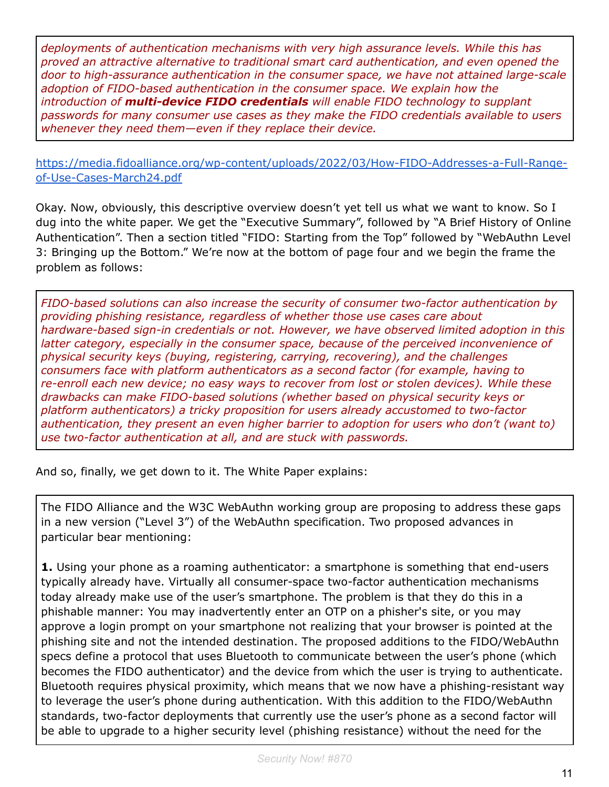*deployments of authentication mechanisms with very high assurance levels. While this has proved an attractive alternative to traditional smart card authentication, and even opened the door to high-assurance authentication in the consumer space, we have not attained large-scale adoption of FIDO-based authentication in the consumer space. We explain how the introduction of multi-device FIDO credentials will enable FIDO technology to supplant passwords for many consumer use cases as they make the FIDO credentials available to users whenever they need them—even if they replace their device.*

[https://media.fidoalliance.org/wp-content/uploads/2022/03/How-FIDO-Addresses-a-Full-Range](https://media.fidoalliance.org/wp-content/uploads/2022/03/How-FIDO-Addresses-a-Full-Range-of-Use-Cases-March24.pdf)[of-Use-Cases-March24.pdf](https://media.fidoalliance.org/wp-content/uploads/2022/03/How-FIDO-Addresses-a-Full-Range-of-Use-Cases-March24.pdf)

Okay. Now, obviously, this descriptive overview doesn't yet tell us what we want to know. So I dug into the white paper. We get the "Executive Summary", followed by "A Brief History of Online Authentication". Then a section titled "FIDO: Starting from the Top" followed by "WebAuthn Level 3: Bringing up the Bottom." We're now at the bottom of page four and we begin the frame the problem as follows:

*FIDO-based solutions can also increase the security of consumer two-factor authentication by providing phishing resistance, regardless of whether those use cases care about hardware-based sign-in credentials or not. However, we have observed limited adoption in this latter category, especially in the consumer space, because of the perceived inconvenience of physical security keys (buying, registering, carrying, recovering), and the challenges consumers face with platform authenticators as a second factor (for example, having to re-enroll each new device; no easy ways to recover from lost or stolen devices). While these drawbacks can make FIDO-based solutions (whether based on physical security keys or platform authenticators) a tricky proposition for users already accustomed to two-factor authentication, they present an even higher barrier to adoption for users who don't (want to) use two-factor authentication at all, and are stuck with passwords.*

And so, finally, we get down to it. The White Paper explains:

The FIDO Alliance and the W3C WebAuthn working group are proposing to address these gaps in a new version ("Level 3") of the WebAuthn specification. Two proposed advances in particular bear mentioning:

**1.** Using your phone as a roaming authenticator: a smartphone is something that end-users typically already have. Virtually all consumer-space two-factor authentication mechanisms today already make use of the user's smartphone. The problem is that they do this in a phishable manner: You may inadvertently enter an OTP on a phisher's site, or you may approve a login prompt on your smartphone not realizing that your browser is pointed at the phishing site and not the intended destination. The proposed additions to the FIDO/WebAuthn specs define a protocol that uses Bluetooth to communicate between the user's phone (which becomes the FIDO authenticator) and the device from which the user is trying to authenticate. Bluetooth requires physical proximity, which means that we now have a phishing-resistant way to leverage the user's phone during authentication. With this addition to the FIDO/WebAuthn standards, two-factor deployments that currently use the user's phone as a second factor will be able to upgrade to a higher security level (phishing resistance) without the need for the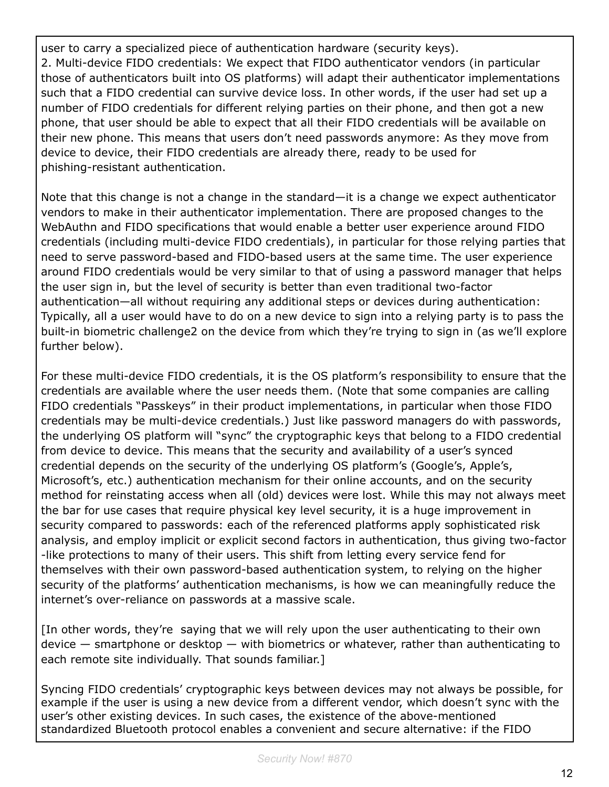user to carry a specialized piece of authentication hardware (security keys). 2. Multi-device FIDO credentials: We expect that FIDO authenticator vendors (in particular those of authenticators built into OS platforms) will adapt their authenticator implementations such that a FIDO credential can survive device loss. In other words, if the user had set up a number of FIDO credentials for different relying parties on their phone, and then got a new phone, that user should be able to expect that all their FIDO credentials will be available on their new phone. This means that users don't need passwords anymore: As they move from device to device, their FIDO credentials are already there, ready to be used for phishing-resistant authentication.

Note that this change is not a change in the standard—it is a change we expect authenticator vendors to make in their authenticator implementation. There are proposed changes to the WebAuthn and FIDO specifications that would enable a better user experience around FIDO credentials (including multi-device FIDO credentials), in particular for those relying parties that need to serve password-based and FIDO-based users at the same time. The user experience around FIDO credentials would be very similar to that of using a password manager that helps the user sign in, but the level of security is better than even traditional two-factor authentication—all without requiring any additional steps or devices during authentication: Typically, all a user would have to do on a new device to sign into a relying party is to pass the built-in biometric challenge2 on the device from which they're trying to sign in (as we'll explore further below).

For these multi-device FIDO credentials, it is the OS platform's responsibility to ensure that the credentials are available where the user needs them. (Note that some companies are calling FIDO credentials "Passkeys" in their product implementations, in particular when those FIDO credentials may be multi-device credentials.) Just like password managers do with passwords, the underlying OS platform will "sync" the cryptographic keys that belong to a FIDO credential from device to device. This means that the security and availability of a user's synced credential depends on the security of the underlying OS platform's (Google's, Apple's, Microsoft's, etc.) authentication mechanism for their online accounts, and on the security method for reinstating access when all (old) devices were lost. While this may not always meet the bar for use cases that require physical key level security, it is a huge improvement in security compared to passwords: each of the referenced platforms apply sophisticated risk analysis, and employ implicit or explicit second factors in authentication, thus giving two-factor -like protections to many of their users. This shift from letting every service fend for themselves with their own password-based authentication system, to relying on the higher security of the platforms' authentication mechanisms, is how we can meaningfully reduce the internet's over-reliance on passwords at a massive scale.

[In other words, they're saying that we will rely upon the user authenticating to their own device — smartphone or desktop — with biometrics or whatever, rather than authenticating to each remote site individually. That sounds familiar.]

Syncing FIDO credentials' cryptographic keys between devices may not always be possible, for example if the user is using a new device from a different vendor, which doesn't sync with the user's other existing devices. In such cases, the existence of the above-mentioned standardized Bluetooth protocol enables a convenient and secure alternative: if the FIDO